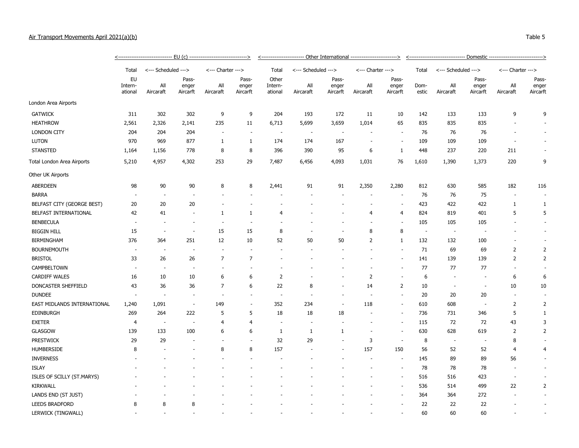## Air Transport Movements April 2021(a)(b) Table 5

|                             | Total                    |                          | <--- Scheduled ---> |                          | <--- Charter --->        |                          | <--- Scheduled ---> |                  | <--- Charter --->        |                          | Total                    | <--- Scheduled --->      |                          | <--- Charter --->        |                  |
|-----------------------------|--------------------------|--------------------------|---------------------|--------------------------|--------------------------|--------------------------|---------------------|------------------|--------------------------|--------------------------|--------------------------|--------------------------|--------------------------|--------------------------|------------------|
|                             | EU<br>Intern-<br>ational |                          | Pass-               |                          | Pass-                    | Other                    |                     | Pass-            |                          | Pass-                    |                          |                          | Pass-                    | Pass-                    |                  |
|                             |                          |                          | All<br>Aircaraft    | enger<br>Aircarft        | Aircaraft                | All<br>enger<br>Aircarft | Intern-<br>ational  | All<br>Aircaraft | enger<br>Aircarft        | All<br>Aircaraft         | enger<br>Aircarft        | Dom-<br>estic            | All<br>Aircaraft         | enger<br>Aircarft        | All<br>Aircaraft |
| London Area Airports        |                          |                          |                     |                          |                          |                          |                     |                  |                          |                          |                          |                          |                          |                          |                  |
| <b>GATWICK</b>              | 311                      | 302                      | 302                 | 9                        | 9                        | 204                      | 193                 | 172              | 11                       | 10                       | 142                      | 133                      | 133                      | 9                        | 9                |
| <b>HEATHROW</b>             | 2,561                    | 2,326                    | 2,141               | 235                      | 11                       | 6,713                    | 5,699               | 3,659            | 1,014                    | 65                       | 835                      | 835                      | 835                      |                          |                  |
| <b>LONDON CITY</b>          | 204                      | 204                      | 204                 |                          | ä,                       | $\overline{\phantom{a}}$ |                     |                  |                          |                          | 76                       | 76                       | 76                       |                          |                  |
| <b>LUTON</b>                | 970                      | 969                      | 877                 | $\mathbf{1}$             | 1                        | 174                      | 174                 | 167              | ٠                        | ÷,                       | 109                      | 109                      | 109                      | $\overline{\phantom{a}}$ |                  |
| <b>STANSTED</b>             | 1,164                    | 1,156                    | 778                 | 8                        | 8                        | 396                      | 390                 | 95               | 6                        | 1                        | 448                      | 237                      | 220                      | 211                      |                  |
| Total London Area Airports  | 5,210                    | 4,957                    | 4,302               | 253                      | 29                       | 7,487                    | 6,456               | 4,093            | 1,031                    | 76                       | 1,610                    | 1,390                    | 1,373                    | 220                      | 9                |
| Other UK Airports           |                          |                          |                     |                          |                          |                          |                     |                  |                          |                          |                          |                          |                          |                          |                  |
| <b>ABERDEEN</b>             | 98                       | 90                       | 90                  | 8                        | 8                        | 2,441                    | 91                  | 91               | 2,350                    | 2,280                    | 812                      | 630                      | 585                      | 182                      | 116              |
| <b>BARRA</b>                |                          | $\overline{\phantom{a}}$ |                     |                          |                          |                          |                     |                  |                          |                          | 76                       | 76                       | 75                       |                          |                  |
| BELFAST CITY (GEORGE BEST)  | 20                       | 20                       | 20                  |                          | ٠                        |                          |                     |                  |                          | ÷,                       | 423                      | 422                      | 422                      | $\mathbf{1}$             | 1                |
| BELFAST INTERNATIONAL       | 42                       | 41                       |                     | $\mathbf{1}$             | $\mathbf{1}$             | 4                        |                     |                  | $\overline{4}$           | 4                        | 824                      | 819                      | 401                      | 5                        | 5                |
| <b>BENBECULA</b>            | $\overline{a}$           |                          |                     | $\overline{\phantom{a}}$ | ٠                        |                          |                     |                  |                          | $\overline{\phantom{a}}$ | 105                      | 105                      | 105                      |                          |                  |
| <b>BIGGIN HILL</b>          | 15                       | $\overline{\phantom{a}}$ |                     | 15                       | 15                       | 8                        |                     |                  | 8                        | 8                        | $\overline{\phantom{a}}$ | $\overline{\phantom{a}}$ |                          |                          |                  |
| <b>BIRMINGHAM</b>           | 376                      | 364                      | 251                 | 12                       | 10                       | 52                       | 50                  | 50               | $\overline{2}$           | 1                        | 132                      | 132                      | 100                      |                          |                  |
| <b>BOURNEMOUTH</b>          | $\overline{\phantom{a}}$ | $\overline{\phantom{a}}$ |                     |                          | ÷,                       | $\overline{\phantom{a}}$ |                     |                  |                          |                          | 71                       | 69                       | 69                       | $\overline{2}$           | $\overline{2}$   |
| <b>BRISTOL</b>              | 33                       | 26                       | 26                  | $\overline{7}$           | $\overline{7}$           |                          |                     |                  |                          | ÷,                       | 141                      | 139                      | 139                      | $\overline{2}$           | $\overline{2}$   |
| CAMPBELTOWN                 |                          | ÷.                       |                     |                          |                          |                          |                     |                  |                          |                          | 77                       | 77                       | 77                       | $\overline{\phantom{a}}$ |                  |
| <b>CARDIFF WALES</b>        | 16                       | 10                       | 10                  | 6                        | 6                        | $\overline{2}$           |                     |                  | $\overline{2}$           | ä,                       | 6                        | $\overline{\phantom{a}}$ | ÷                        | 6                        | 6                |
| DONCASTER SHEFFIELD         | 43                       | 36                       | 36                  | $\overline{7}$           | 6                        | 22                       | 8                   | $\blacksquare$   | 14                       | $\overline{2}$           | 10                       | $\overline{\phantom{a}}$ | $\overline{\phantom{m}}$ | 10                       | 10               |
| <b>DUNDEE</b>               | $\overline{\phantom{a}}$ | $\overline{\phantom{a}}$ |                     | $\overline{\phantom{a}}$ | $\overline{\phantom{a}}$ | $\overline{\phantom{a}}$ |                     | $\overline{a}$   | $\overline{\phantom{a}}$ | ÷,                       | 20                       | 20                       | 20                       | $\overline{\phantom{a}}$ |                  |
| EAST MIDLANDS INTERNATIONAL | 1,240                    | 1,091                    |                     | 149                      | $\overline{\phantom{a}}$ | 352                      | 234                 |                  | 118                      | $\blacksquare$           | 610                      | 608                      |                          | $\overline{2}$           | $\overline{2}$   |
| <b>EDINBURGH</b>            | 269                      | 264                      | 222                 | 5                        | 5                        | 18                       | 18                  | 18               | $\sim$                   | ÷,                       | 736                      | 731                      | 346                      | 5                        | 1                |
| <b>EXETER</b>               | $\overline{4}$           | $\overline{\phantom{a}}$ |                     | $\overline{4}$           | $\overline{4}$           | $\overline{\phantom{a}}$ |                     | ÷,               |                          | ÷,                       | 115                      | 72                       | 72                       | 43                       | 3                |
| <b>GLASGOW</b>              | 139                      | 133                      | 100                 | 6                        | 6                        | $\mathbf{1}$             | 1                   | 1                |                          | $\overline{\phantom{a}}$ | 630                      | 628                      | 619                      | $\overline{2}$           | 2                |
| <b>PRESTWICK</b>            | 29                       | 29                       |                     |                          | ÷,                       | 32                       | 29                  |                  | 3                        | ÷,                       | 8                        | $\overline{\phantom{a}}$ |                          | 8                        |                  |
| <b>HUMBERSIDE</b>           | 8                        |                          |                     | 8                        | 8                        | 157                      |                     |                  | 157                      | 150                      | 56                       | 52                       | 52                       | $\overline{4}$           | $\overline{4}$   |
| <b>INVERNESS</b>            |                          |                          |                     |                          | ÷,                       |                          |                     |                  |                          | $\overline{\phantom{a}}$ | 145                      | 89                       | 89                       | 56                       |                  |
| <b>ISLAY</b>                |                          |                          |                     |                          |                          |                          |                     |                  |                          | $\overline{\phantom{a}}$ | 78                       | 78                       | 78                       |                          |                  |
| ISLES OF SCILLY (ST.MARYS)  |                          |                          |                     |                          |                          |                          |                     |                  |                          | ÷,                       | 516                      | 516                      | 423                      | $\overline{\phantom{a}}$ |                  |
| <b>KIRKWALL</b>             |                          |                          |                     |                          |                          |                          |                     |                  |                          | ÷,                       | 536                      | 514                      | 499                      | 22                       | 2                |
| LANDS END (ST JUST)         |                          |                          |                     |                          |                          |                          |                     |                  |                          |                          | 364                      | 364                      | 272                      |                          |                  |
| <b>LEEDS BRADFORD</b>       | 8                        | 8                        | 8                   |                          |                          |                          |                     |                  |                          |                          | 22                       | 22                       | 22                       |                          |                  |
| LERWICK (TINGWALL)          |                          | ÷.                       |                     |                          |                          |                          |                     |                  |                          |                          | 60                       | 60                       | 60                       |                          |                  |